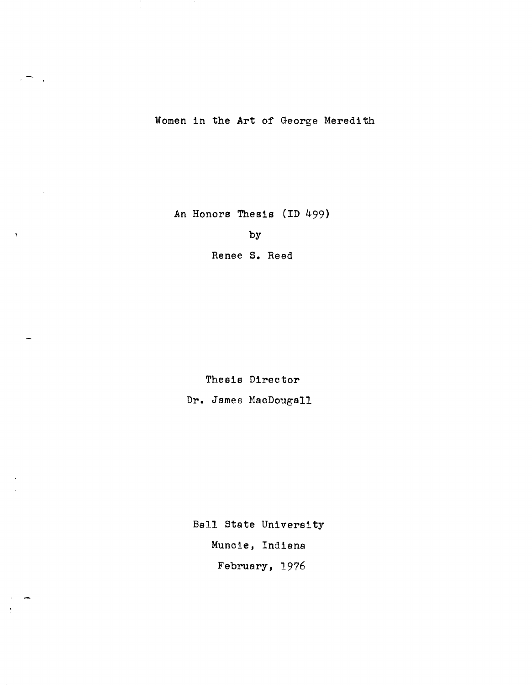Women in the Art of George Meredith

 $\overline{\phantom{a}}$  $\mathbb{R}^2$ 

 $\Lambda$ 

An Honors Thesis (ID 499)

by

Renee S. Reed

Thesis Director Dr. James MacDougall

Ball State University Muncie, Indiana February, 1976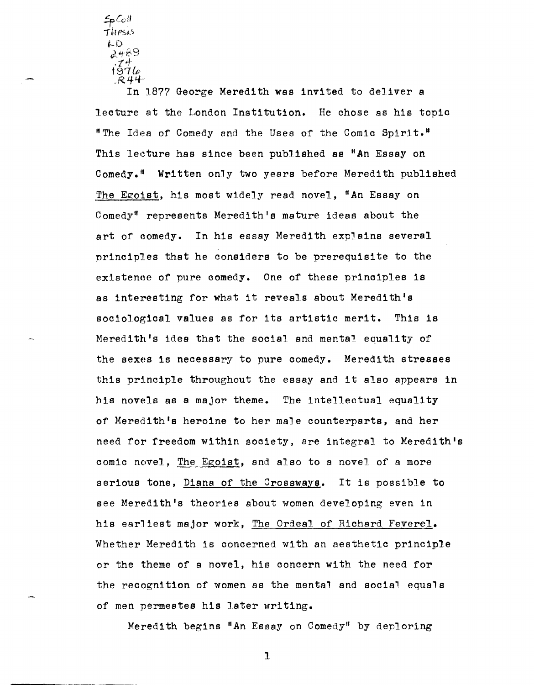$\blacktriangleright$  Collection itlf'S1.5  $L$ . $D$ 2469 .Z4 *19'7lp*   $R44$ 

In 1877 George Meredith was invited to deliver a lecture at the London Institution. He chose as his topic "The Idea of Comedy and the Uses of the Comic Spirit." This lecture has since been published as "An Essay on Comedy." Written only two years before Meredith published The Egoist, his most widely read novel, "An Essay on Comedy" represents Meredith's mature ideas about the art of comedy. In his essay Meredith explains several principles that he considers to be prerequisite to the existence of pure comedy. One of these principles is as interesting for what it reveals about Meredith's sociological values as for its artistic merit. This is Meredith's idea that the social and mental equality of the sexes is necessary to pure comedy. Meredith stresses this principle throughout the essay and it also appears in his novels as a major theme. The intellectual equality of Meredith's heroine to her male counterparts, and her need for freedom within society, are integral to Meredith's comic novel, The Egoist, and also to a novel of a more serious tone, <u>Diana of the Crossways</u>. It is possible to see Meredith's theories about women developing even in his earliest major work, The Ordeal of Richard Feverel. Whether Meredith is concerned with an aesthetic principle or the theme of a novel, his concern with the need for the recognition of women as the mental and social equals of men permeates his later writing.

Meredith begins "An Essay on Comedy" by deploring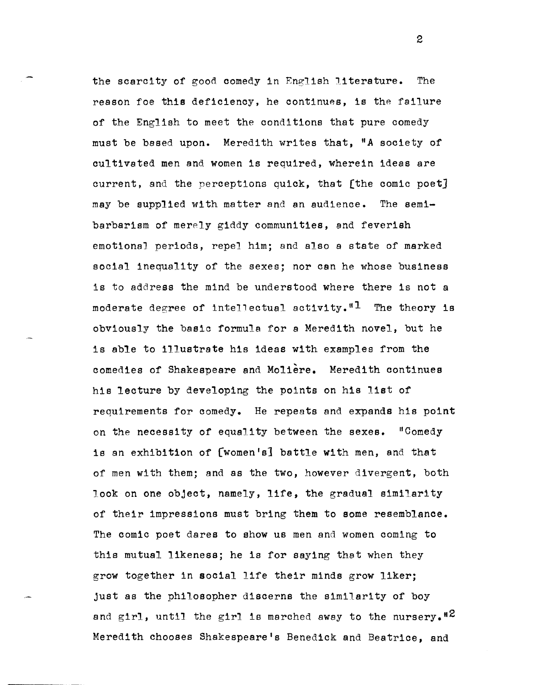the scarcity of good comedy in English literature. The reason foe this deficiency, he continues, is the failure of the English to meet the conditions that pure comedy must be based upon. Meredith writes that, "A society of cultivated men and women is required, wherein ideas are current, and the perceptions quick, that (the comic poet] may be supplied with matter and an audience. The semibarbarism of merely giddy communities, and feverish emotional periods, repel him; and also a state of marked social inequality of the sexes; nor can he whose business is to address the mind be understood where there is not a moderate degree of intellectual activity."<sup>1</sup> The theory is obviously the basic formula for a Meredith novel, but he is able to illustrate his ideas with examples from the comedies of Shakespeare and Moliere. Meredith continues his lecture by developing the points on his list of requirements for comedy. He repeats and expands his point on the necessity of equality between the sexes. "Comedy is an exhibition of (women's] battle with men, and that of men with them; and as the two, however divergent, both look on one object, namely, life, the gradual similarity of their impressions must bring them to some resemblance. The comic poet dares to show us men and women coming to this mutual likeness; he is for saying that when they grow together in social life their minds grow liker; just as the philosopher discerns the similarity of boy and girl, until the girl is marched away to the nursery.<sup>12</sup> Meredith chooses Shakespeare's Benedick and Beatrice, and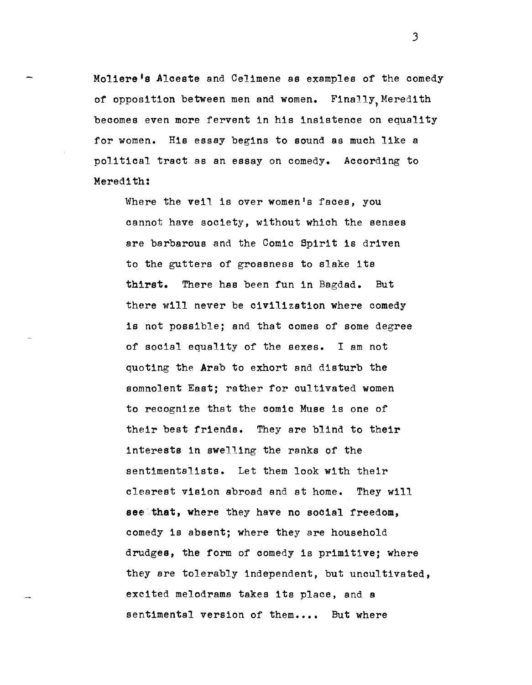Moliere's Alceste and Celimene as examples of the comedy of opposition between men and women. Finally, Meredith becomes even more fervent in his insistence on equality for women. His essay begins to sound as much like a politicol tract as an essay on comedy. According to Meredith:

Where the veil is over women's faces, you cannot have society, without which the senses are barbarous and the Comic Spirit is driven to the gutters of grossness to slake its thirst. There has been fun in Bagdad. But there will never be civilization where comedy is not possible; and that comes of some degree of social equality of the sexes. I am not quoting the Arab to exhort and disturb the somnolent East; rather for cultivated women to recognize that the comic Muse is one of their best friends. They are blind to their interests in swelling the ranks of the sentimentalists. Let them look with their clearest vision abroad and at home. They will see that, where they have no social freedom, comedy is absent; where they are household drudges, the form of comedy is primitive; where they are tolerably independent, but uncultivated, excited melodrama takes its place, and a sentimental version of them.... But where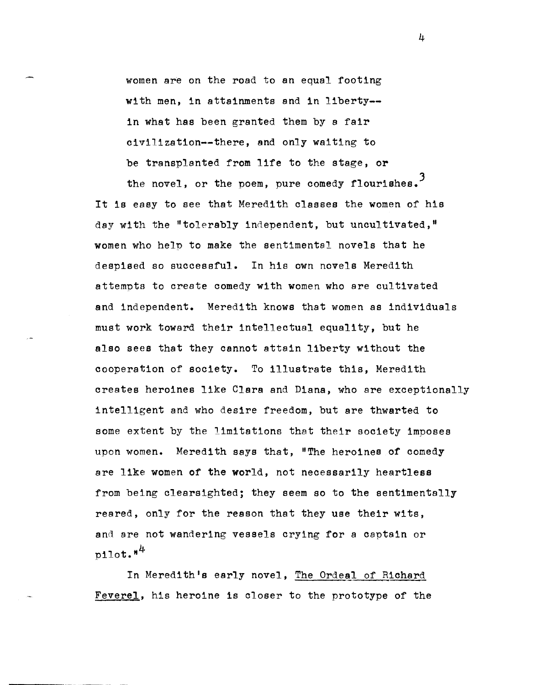women are on the road to an equal footing with men, in attainments and in liberty- in what has been granted them by a fair civilization--there, and only waiting to be transplanted from life to the stage, or

the novel, or the poem, pure comedy flourishes.<sup>3</sup> It is easy to see that Meredith classes the women of his day with the "tolerably independent, but uncultivated," women who help to make the sentimental novels that he despised so successful. In his own novels Meredith attempts to create comedy with women who are cultivated and independent. Meredith knows that women as individuals must work toward their intellectual equality, but he also sees that they cannot attain liberty without the cooperation of society. To illustrate this, Meredith creates heroines like Clara and Diana, who are exceptionally intelligent and who desire freedom, but are thwarted to some extent by the limitations that their society imposes upon women. Meredith says that, "The heroines of comedy are like women of the world, not necessarily heartless from being clearsighted; they seem so to the sentimentally reared, only for the reason that they use their wits, and are not wandering vessels crying for a captain or  $pi$ 11ot." $4$ 

In Meredith's early novel, The Ordeal of Richard Feverel, his heroine is closer to the prototype of the

 $\mu$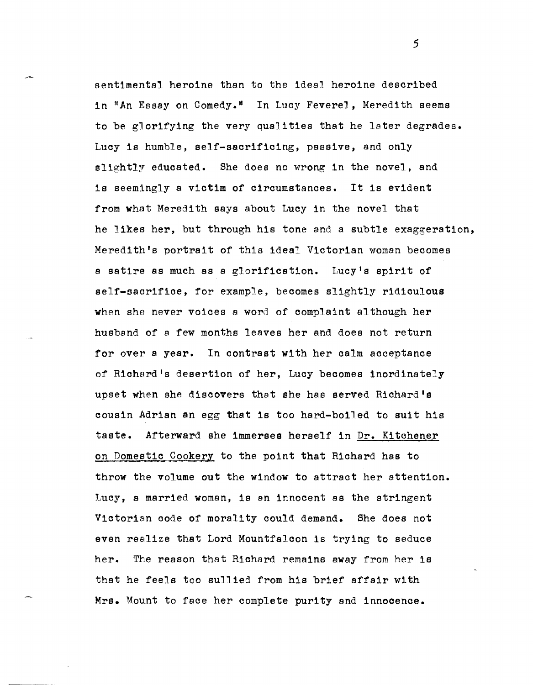sentimental heroine than to the ideal heroine described in "An Essay on Comedy." In Lucy Feverel, Meredith seems to be glorifying the very qualities that he later degrades. Lucy is humble, self-sacrificing, passive, and only slightly educated. She does no wrong in the novel, and is seemingly a victim of Circumstances. It is evident from what Meredith says about Lucy in the novel that he likes her, but through his tone and a subtle exaggeration, Meredith's portrait of this ideal Victorian woman becomes a satire as much as a glorification. Lucy's spirit of self-sacrifice, for example, becomes slightly ridiculous when she never voices a word of complaint although her husband of a few months leaves her and does not return for over a year. In contrast with her calm acceptance of Richard's desertion of her, Luoy becomes inordinately upset when she discovers that she has served Richard's cousin Adrian an egg that is too hard-boiled to suit his taste. Afterward she immerses herself in Dr. Kitohener on Domestic Cookery to the point that Richard has to throw the volume out the window to attract her attention. Lucy, a married woman, is an innocent as the stringent Victorian code of morality could demand. She does not even realize that Lord Mountfalcon is trying to seduce her. The reason that Richard remains away from her is that he feels too sullied from his brief affair with Mrs. Mount to face her complete purity and innocence.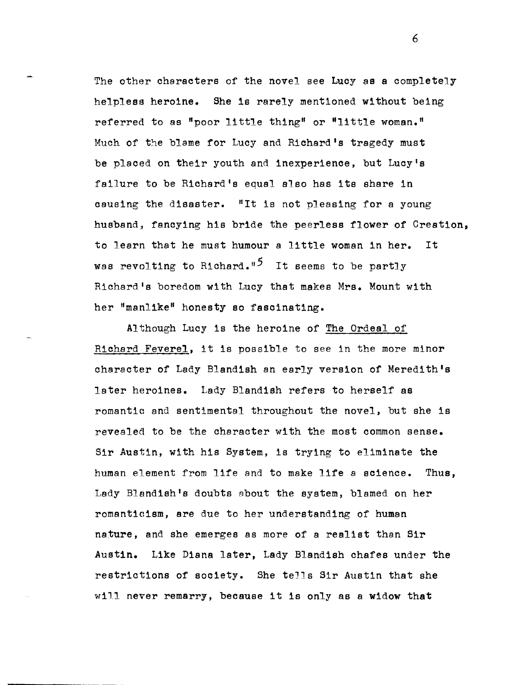The other characters of the novel see Lucy as a completely helpless heroine. She is rarely mentioned without being referred to as "poor little thing" or "little woman." Much of the blame for Lucy and Richard's tragedy must be placed on their youth and inexperience, but Lucy's failure to be Richard's equal also has its share in causing the disaster. "It is not pleasing for a young husband, fancying his bride the peerless flower of Creation, to learn that he must humour a little woman in her. It was revolting to Richard.<sup>"5</sup> It seems to be partly Richard's boredom with Lucy that makes Mrs. Mount with her "manlike" honesty so fascinating.

Although Lucy is the heroine of The Ordeal of Richard Feverel, it is possible to see in the more minor charaoter of Lady Blandish an early version of Meredith's later heroines. Lady Blandish refers to herself as romantic and sentimental throughout the novel, but she is revealed to be the character with the most common sense. Sir Austin, with his System, is trying to eliminate the human element from life and to make life a science. Thus, Lady Blandish's doubts about the system, blamed on her romanticism, are due to her understanding of human nature, and she emerges as more of a realist than Sir Austin. Like Diana later, Lady Blandish chafes under the restrictions of sooiety. She teJls Sir Austin that she wi1.1 never remarry, beoause it is only as a widow that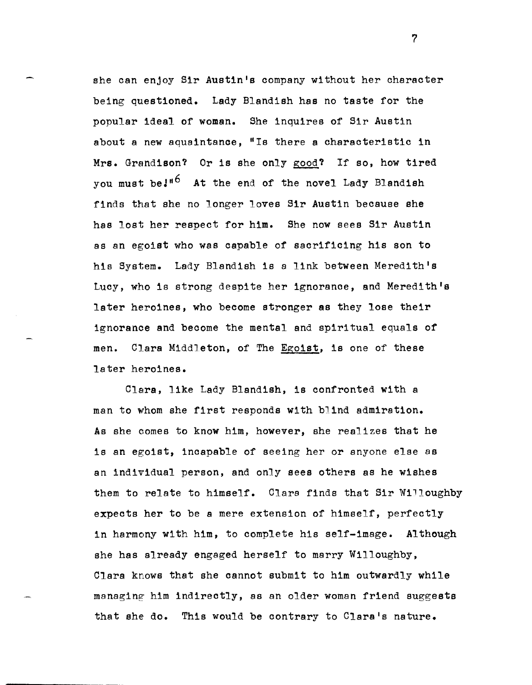she can enjoy Sir Austin's company without her character being questioned. Lady Blandish has no taste for the popular ideal of woman. She inquires of Sir Austin about a new aquaintanoe, "Is there a characteristic in Mrs. Grandison? Or is she only good? If so, how tired you must be<sup>1"6</sup> At the end of the novel Lady Blandish finds that she no longer loves Sir Austin because she has lost her respect for him. She now sees Sir Austin as an egoist who was capable of sacrificing his son to his System. Lady Blandish is a link between Meredith's Lucy, who is strong despite her ignorance, and Meredith's later heroines, who become stronger as they lose their ignoranoe and become the mental and spiritual equals of men. Clara Middleton, of The Egoist, is one of these later heroines.

Clara, like Lady Blandish, is confronted with a man to whom she first responds with blind admiration. As she comes to know him, however, she realizes that he is an egoist, incapable of seeing her or anyone else as an individual person, and only sees others as he wishes them to relate to himself. Clara finds that Sir Willoughby expects her to be a mere extension of himself, perfectly in harmony with him, to complete his self-image. Although she has already engaged herself to marry Willoughby, Clara knows that she cannot submit to him outwardly while managing him indirectly, as an older woman friend suggests that she do. This would be contrary to Clara's nature.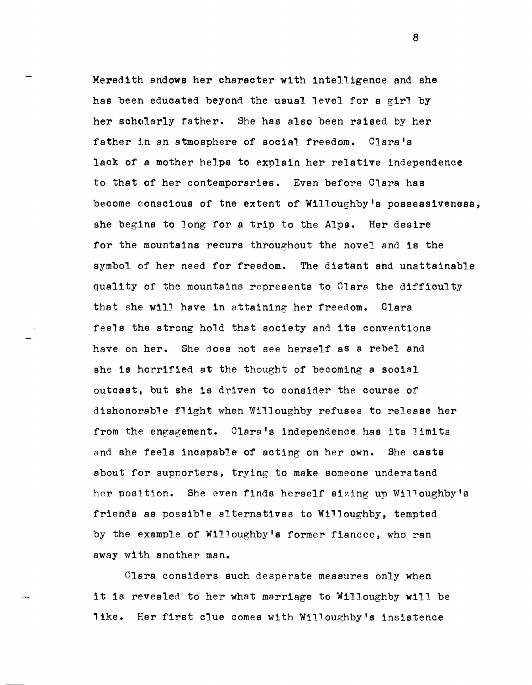Meredith endows her character with intelligence and she has been educated beyond the usual level for a girl by her schc)larly father. She has also been raised by her father in an atmosphere of social freedom. Clara's lack of a mother helps to explain her relative independence to that of her contemporaries. Even before Clara has become conscious of tne extent of Willoughby's possessiveness, she begins to long for a trip to the Alps. Her desire for the mountains recurs throughout the novel and is the symbol of her need for freedom. The distant and unattainable quality of the mountains represents to C1ara the difficulty that she will have in attaining her freedom. Clara feels the strong hold that society and its conventions have on her. She does not see herself as a rebel and she is horrified at the thought of becoming a social outcast, but she is driven to consider the course of dishonorable flight when Willoughby refuses to release her from the engagement. Clara's independence has its limits and she feels incapable of acting on her own. She casts about for supporters, trying to make someone understand her position. She even finds herself sizing up Willoughby's friends as possible alternatives to Willoughby, tempted by the example of Willoughby's former fiancee, who ran away with another man.

Clara considers such desperate measures only when it is revealed to her what marriage to Willoughby will be like. Her first clue comes with Willoughby's insistence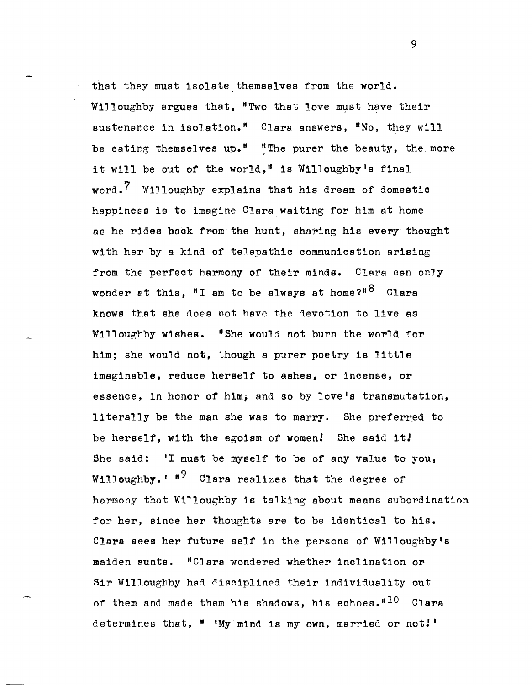that they must isolate themselves from the world. Willoughby argues that, "Two that love must have their sustenance in isolation." Clara answers, "No, they will be eating themselves up." "The purer the beauty, the more it will be out of the world," is Willoughby's final word.<sup>7</sup> Willoughby explains that his dream of domestic happiness is to imagine Clara waiting for him at home as he rides back from the hunt, sharing his every thought with her by a kind of teJepathic communication arising from the perfect harmony of their minds. Clara can only wonder at this, "I am to be always at home?" $8\,$  Clara knows that she does not have the devotion to live as Willoughby wishes. "She would not burn the world for him; she would not, though a purer poetry is little imaginable, reduce herself to ashes, or incense, or essence, in honor of him; and so by love's transmutation, literally be the man she was to marry. She preferred to be herself, with the egoism of women! She said it! She said: 'I must be myself to be of any value to you, Willoughby.<sup> $1 \text{ } 19$ </sup> Clara realizes that the degree of harmony that Willoughby is talking about means subordination for her, since her thoughts are to be identical to his. Clara sees her future self in the persons of Willoughbyls maiden aunts. "Clara wondered whether inclination or Sir WilJoughby had disciplined their individuality out of them and made them his shadows, his echoes. $10$  Clara determines that, " 'My mind is my own, married or not!'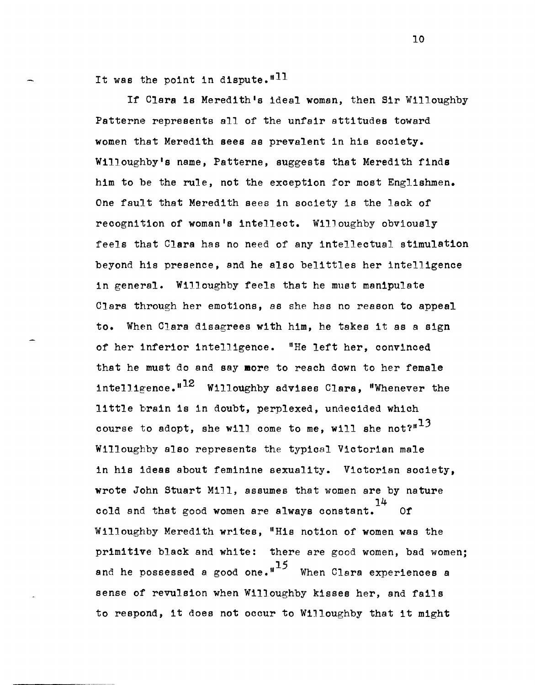It was the point in dispute.<sup>"11</sup>

If Clara is Meredith's ideal woman, then Sir Willoughby Patterne represents all of the unfair attitudes toward women that Meredith sees as prevalent in his society. Wi11oughby's name, Patterne, suggests that Meredith finds him to he the rule, not the exception for most Englishmen. One fault that Meredith sees in society is the lack of recognition of woman's intellect. Willoughby obviously feels that Clara has no need of any intellectual stimulation beyond his presence, and he also belittles her intelligence in general. Willoughby feels that he must manipulate Clara through her emotions, as she has no reason to appeal to. When Clara disagrees with him, he takes it as a sign of her inferior intelligence. "He left her, convinced that he must do and say more to reach down to her female intelligence.  $H^{12}$  Willoughby advises Clara, "Whenever the little brain is in doubt, perplexed, undecided which course to adopt, she will come to me, will she not?" $^{13}$ Willoughby also represents the typical Victorian male in his ideas about feminine sexuality. Victorian society, wrote John Stuart Mill, assumes that women are by nature 14 cold and that good women are always constant. *Of*  Willoughby Meredith writes, "His notion of women was the primitive black and white: there are good women, bad women; and he possessed a good one. $n^{15}$  When Clara experiences a sense of revulsion when Willoughby kisses her, and fails to respond, it does not occur to Willoughby that it might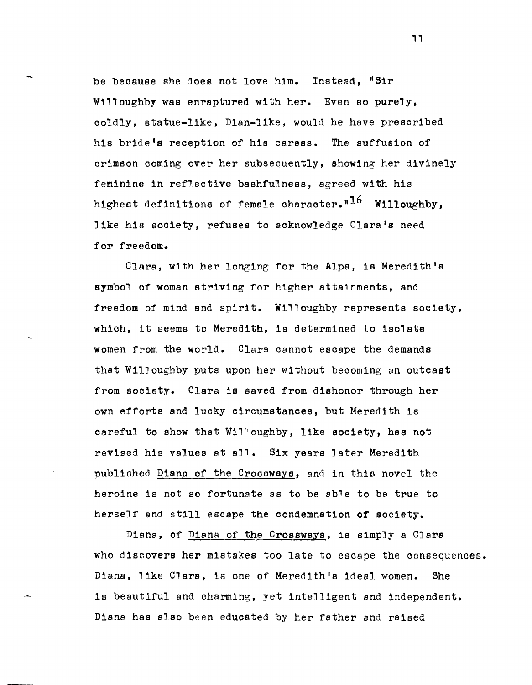be beoause she does not love him. Instead, "Sir Willoughby was enraptured with her. Even so purely, coldly, statue-like, Dian-like, would he have prescribed his bride's reception of his caress. The suffusion of crimson coming over her subsequently, showing her divinely feminine in reflective bashfulness, agreed with his highest definitions of female character."<sup>16</sup> Willoughby, like his society, refuses to acknowledge Clara's need for freedom.

Clara, with her longing for the Alps, is Meredith's symbol of woman striving for higher attainments, and freedom of mind and spirit. WilJoughby represents society, which, it seems to Meredith, is determined to isolate women from the world. Clara cannot escape the demands that WilJoughby puts upon her without becoming an outcast from sooiety. Clara is saved from dishonor through her own effc)rts and lucky circumstances, but Meredith is careful to show that Willoughby, like society, has not revised his values at all. Six years later Meredith published Diana of the Crossways, and in this novel the heroine is not so fortunate as to be able to be true to herself and still escape the condemnation of society.

Diana, of Diana of the Crossways, is simply a Clara who discovers her mistakes too late to escape the consequences. Diana, like Clara, is one of Meredith's ideal women. She is beautiful and charming, yet intelligent and independent. Diana has also been educated by her father and raised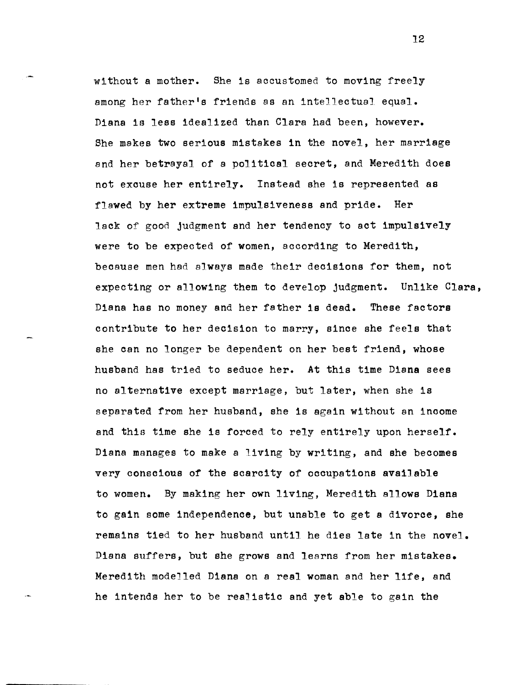without a mother. She is accustomed to moving freely among her father1s friends as an intellectual equal. Diana is less idealized than Clara had been, however. She makes two serious mistakes in the novel, her marriage and her betrayal of a political secret, and Meredith does not excuse her entirely. Instead she is represented as flawed by her extreme impulsiveness and pride. Her lack of good judgment and her tendency to act impulsively were to be expected of women, according to Meredith, beoause men had always made their deoisions for them, not expecting or allowing them to develop judgment. Unlike Clara, Diana has no money and her father is dead. These factors contribute to her decision to marry, since she feels that she can no longer be dependent on her best friend, whose husband has tried to seduce her. At this time Diana sees no alternative except marriage, but later, when she is separated from her husband, she is again without an income and this time she is forced to rely entirely upon herself. Diana manages to make a living by writing, and she becomes very conscious of the scarcity of occupations available to women. By making her own living, Meredith allows Diana to gain some independence, but unable to get a divorce, she remains tied to her husband until he dies late in the novel. Diana suffers, but she grows and learns from her mistakes. Meredith modelled Diana on a real woman and her life, and he intends her to be realistic and yet able to gain the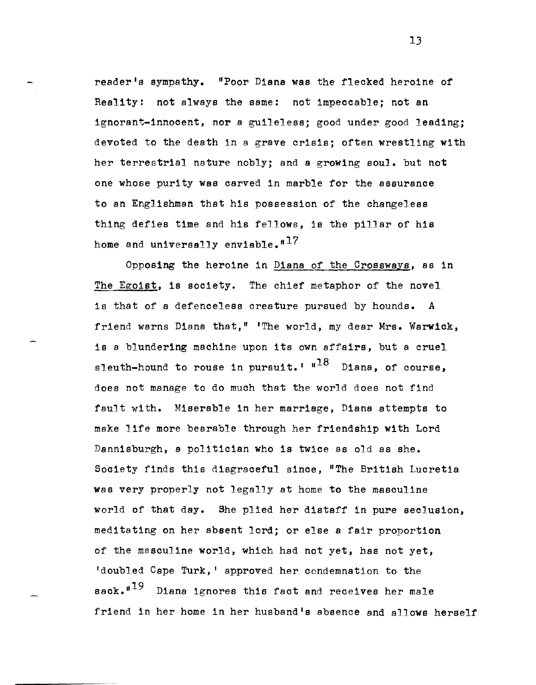reader's sympathy. "Poor Diana was the flecked heroine of Reality: not always the same: not impeocable; not an ignorant-innooent, nor a guileless; good under good leading; devoted to the death in a grave crisis; often wrestling with her terrestrial nature nobly; and a growing soul. but not one whose purity was carved in marble for the assurance to an Englishman that his possession of the changeless thing defies time and his feJlows, is the pillar of his home and universally enviable.  $H^{17}$ 

Opposing the heroine in Diana of the Crossways, as in The Egoist, is society. The chief metaphor of the novel is that of a defenceless creature pursued by hounds. *A*  friend warns Diana that," 'The world, my dear Mrs. Warwick, is a blundering machine upon its own affairs, but a cruel sleuth-hound to rouse in pursuit.<sup> $1 \text{ m}^{18}$  Diana, of course,</sup> does not manage to do much that the world does not find fault with. Miserable in her marriage, Diana attempts to make life more bearable through her friendship with Lord Dannisburgh, a politician who is twice as old as she. SOCiety finds this disgraceful since, "The British Lucretia was very properly not legalJy at home to the masculine world of that day. She plied her distaff in pure seclusion, meditating on her absent lord; or else a fair proportion of the masculine world, which had not yet, has not yet, 'doubled Cape Turk, ' approved her condemnation to the  $sack.^{119}$  Diana ignores this fact and receives her male friend in her home in her husband's absence and allows herself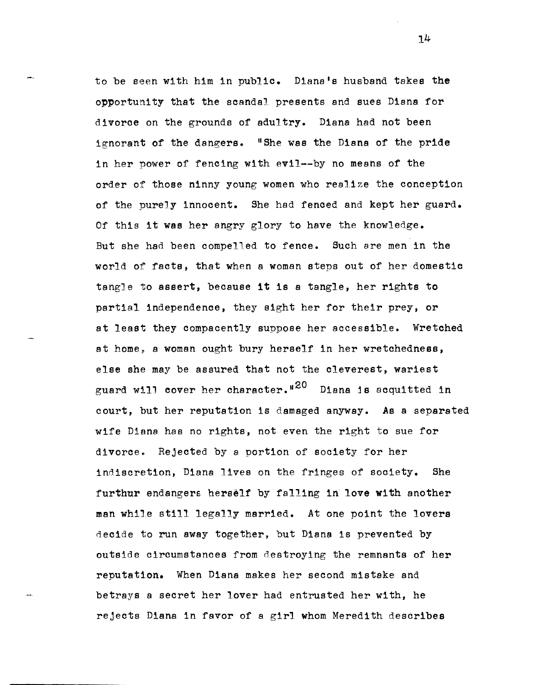to be seen with him in public. Diana's husband takes the opportunity that the scandal presents and sues Diana for divorce on the grounds of adultry. Diana had not been ignorant of the dangers. "She was the Diana of the pride in her power of fencing with evil--by no means of the order of those ninny young women who realize the conception of the purely innocent. She had fenced and kept her guard. Of this it was her angry glory to have the knowledge. But she had been compelled to fence. Such are men in the world of facts, that when a woman steps out of her domestic tangle to assert, because it is a tangle, her rights to partial independence, they sight her for their prey, or at least they compacently suppose her accessible. Wretohed at home, a woman ought bury herself in her wretchedness, else she may be assured that not the cleverest, wariest guard will cover her character."<sup>20</sup> Diana is acquitted in court, but her reputation is damaged anyway. As a separated wife Diana has no rights, not even the right to sue for divorce. Rejected by a portion of society for her indiscretion, Diana lives on the fringes of society. She furthur endangers herself by falling in love with another man while still legally married. At one point the lovers decide to run away together, but Diana is prevented by outside circumstances from destroying the remnants of her reputation. When Diana makes her second mistake and betrays a secret her lover had entrusted her with, he rejects Diana in favor of a girl whom Meredith describes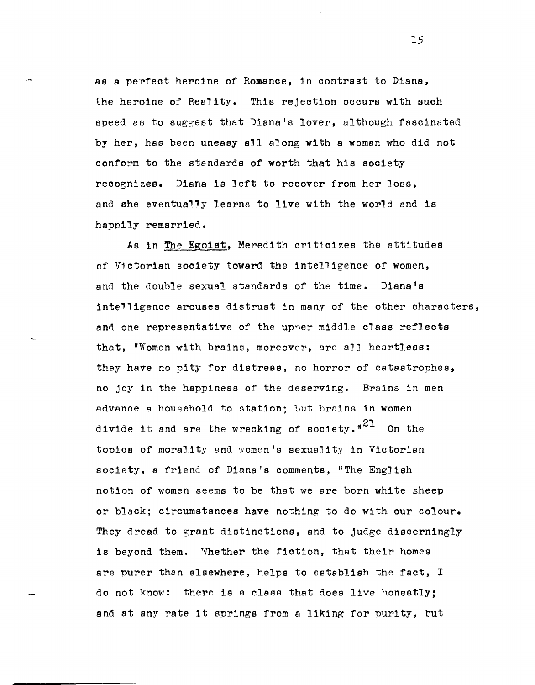as a perfect heroine of Romance, in contrast to Diana, the heroine of Reality. This rejection occurs with such speed as to suggest that Dianals lover, although fascinated by her, has been uneasy all along with a woman who did not conform to the standards of worth that his society recognizes. Diana is left to recover from her loss, and she eventually learns to live with the world and is happily remarried.

As in The Egoist, Meredith criticizes the attitudes of Victorian society toward the intelligence of women, and the double sexual standards of the time. Diana's intelligence arouses distrust in many of the other characters, and one representative of the upner middle class reflects that, "Women with brains, moreover, are aJl heartless: they have no pity for distress, no horror of catastrophes, no joy in the happiness of the deserving. Brains in men advance a household to station; but brains in women divide it and are the wrecking of society." $z_1$  On the topics of morality and women's sexuality in Victorian society, a friend of Diana's comments, "The English notion of women seems to be that we are born white sheep or black; circumstances have nothing to do with our colour. They dread to grant distinctions, and to judge discerningly is beyond them. Whether the fiction, that their homes are purer than elsewhere, helps to establish the fact, I do not know: there is a class that does live honestly; and at any rate it springs from a liking for purity, but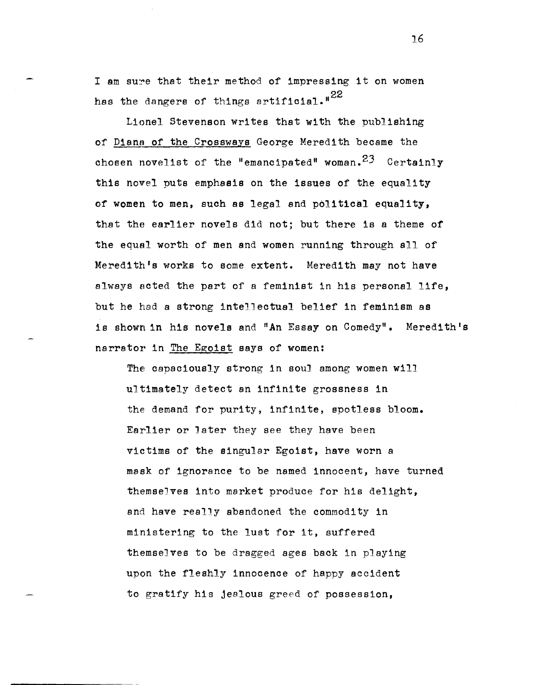I am sure that their method of impressing it on women has the dangers of things artificial.<sup>"22</sup>

Lionel Stevenson writes that with the publishing of Diana of the Crossways George Meredith became the chosen novelist of the "emancipated" woman.  $23$  Certainly this novel puts emphasis on the issues of the equality of women to men, such as legal and political equality, that the earlier novels did not; but there is a theme of the equal worth of men and women running through all of Meredith's works to some extent. Meredith may not have always acted the part of a feminist in his personal life, but he had a strong intellectual belief in feminism as is shown in his novels and "An Essay on Comedy". Meredith's narrator in The Egoist says of women:

The capaciously strong in soul among women will ultimately detect an infinite grossness in the demand for purity, infinite, spotless bloom. Earlier or Jater they see they have been victims of the singular EgOist, have worn a mask of ignorance to be named innocent, have turned themselves into market produce for his delight, and have really abandoned the commodity in ministering to the lust for it, suffered themselves to be dragged ages back in playing upon the fleshly innocence of happy accident to gratify his jealous greed of possession,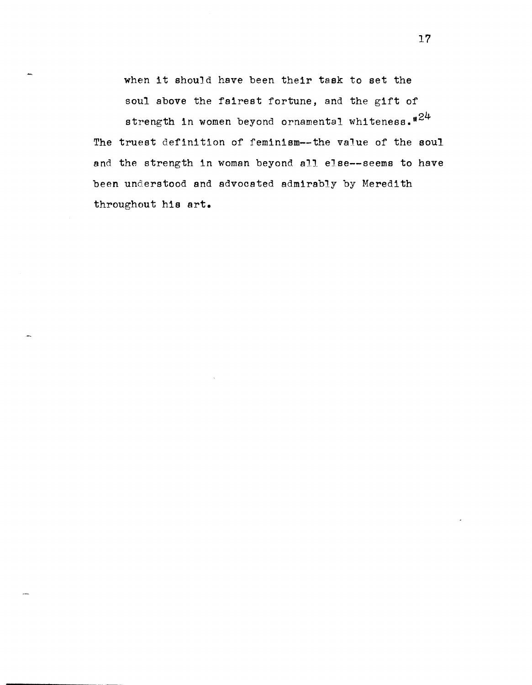when it should have been their task to set the soul above the fairest fortune, and the gift of

strength in women beyond ornamental whiteness.  $n^{24}$ The truest definition of feminism--the value of the soul and the strength in woman beyond all else--seems to have been understood and advocated admirably by Meredith throughout his art.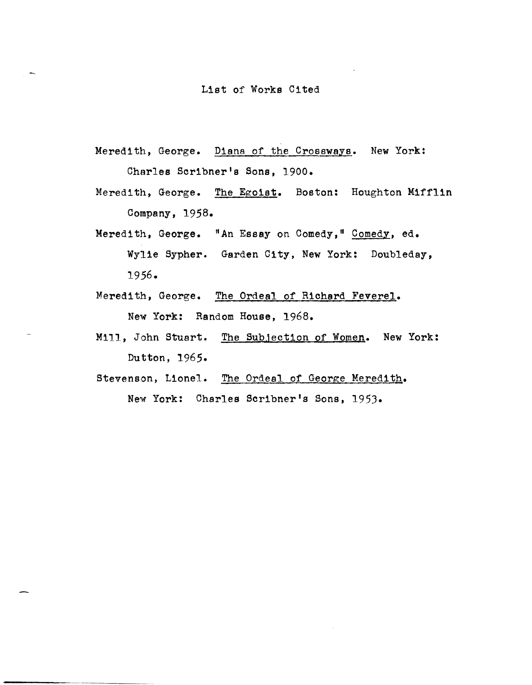## List of Works Cited

- Meredith, George. Diana of the Crossways. New York: Charles Scribner's Sons, 1900.
- Meredith, George. The Egoist. Boston: Houghton Mifflin Company, 1958.
- Meredith, George. "An Essay on Comedy," Comedy, ed. Wylie Sypher. Garden City, New York: Doubleday, 1956.
- Meredith, George. The Ordeal of Richard Feverel. New York: Random House, 1968.
- Mill, John Stuart. The Subjection of Women. New York: Dutton, 1965.
- Stevenson, Lionel. The Ordeal of George Meredith. New York: Charles Scribner's Sons, 1953.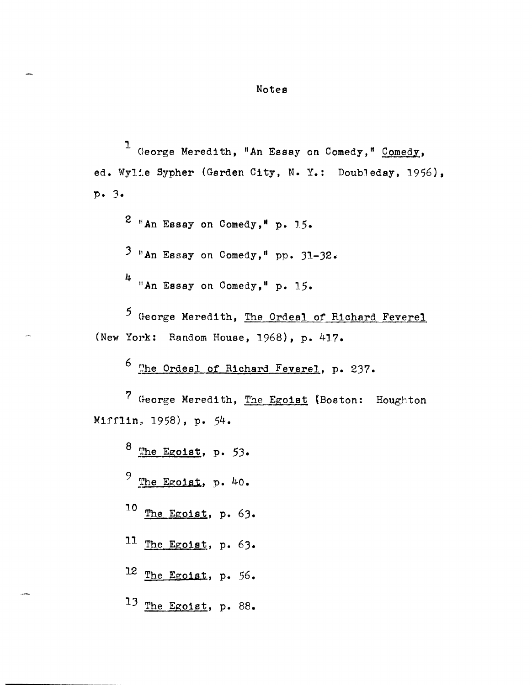## Notes

1 George Meredith, "An Essay on Comedy," Comedy, ed. Wylle Sypher (Garden City, N. Y.: Doubleday, 1956), p. 3.

 $2$  \*An Essay on Comedy, \* p. 15.

 $3$  \*An Essay on Comedy, " pp. 31-32.

4 "An Essay on Comedy," p. 15.

5 George Meredith, The Ordeal of Riohard Feverel (New York: Random House, 1968), p. 417.

6 ~he Ordeal of Riohard Feverel, p. 237.

7 George Meredith, The Egoist (Boston: Houghton Mifflin, 1958) , p. 54.

 $8$  The Egoist, p. 53. 9 The EgOist, p. 40. 10 The EgOist, p. 63. 11 The EgOist, p. 63. 12 The EgOist, p. 56. 13 The Egoist, p. 88.